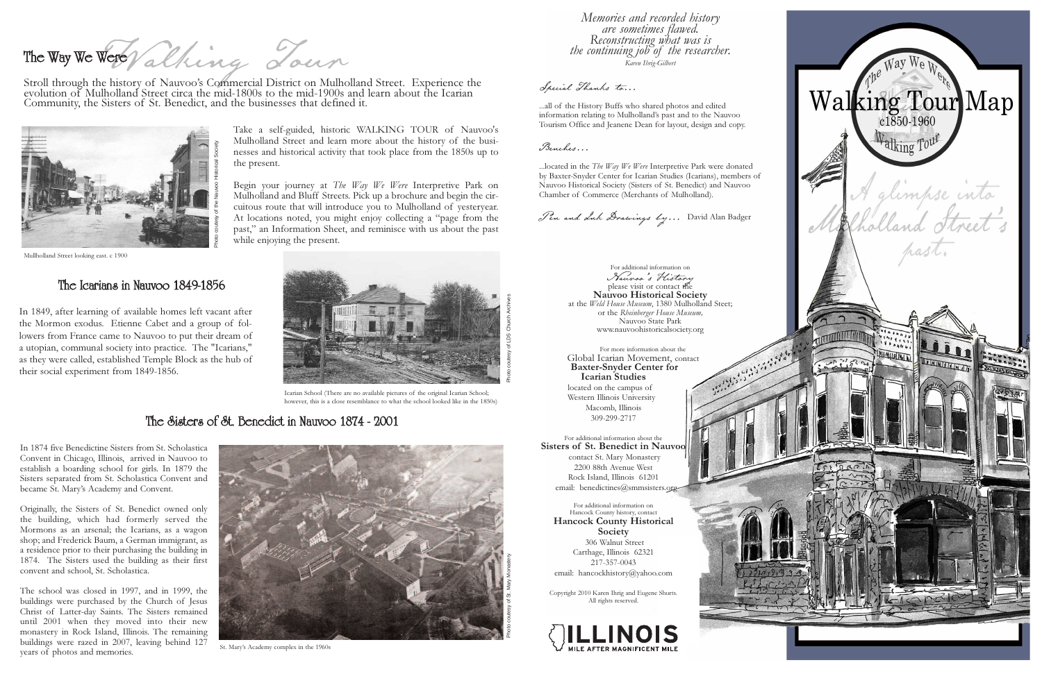Take a self-guided, historic WALKING TOUR of Nauvoo's Mulholland Street and learn more about the history of the busi nesses and historical activity that took place from the 1850s up to

the present.

Fort alking Journ The Way We Were

Begin your journey at The Way We Were Interpretive Park on Mulholland and Bluff Streets. Pick up a brochure and begin the cir cuitous route that will introduce you to Mulholland of yesteryear. At locations noted, you might enjoy collecting a "page from the past," an Information Sheet, and reminisce with us about the past

while enjoying the present.

Stroll through the history of Nauvoo's Commercial District on Mulholland Street. Experience the evolution of Mulholland Street circa the mid-1800s to the mid-1900s and learn about the Icarian Community, the Sisters of St. Benedict, and the businesses that defined it.

In 1849, after learning of available homes left vacant after the Mormon exodus. Etienne Cabet and a group of fol lowers from France came to Nauvoo to put their dream of a utopian, communal society into practice. The "Icarians," as they were called, established Temple Block as the hub of their social experiment from 1849-1856.

## The Icarians in Nauvoo 1849-1856

# The Sisters of St. Benedict in Nauvoo 1874 - 2001

Memories and recorded history<br>are sometimes flawed. Reconstructing what was is<br>the continuing job of the researcher. Karen Ihrig-Gilbert

In 1874 five Benedictine Sisters from St. Scholastica Convent in Chicago, Illinois, arrived in Nauvoo to establish a boarding school for girls. In 1879 the Sisters separated from St. Scholastica Convent and became St. Mary's Academy and Convent.

...located in the The Way We Were Interpretive Park were donated by Baxter-Snyder Center for Icarian Studies (Icarians), members of Nauvoo Historical Society (Sisters of St. Benedict) and Nauvoo Chamber of Commerce (Merchants of Mulholland).

Originally, the Sisters of St. Benedict owned only the building, which had formerly served the Mormons as an arsenal; the Icarians, as a wagon shop; and Frederick Baum, a German immigrant, as a residence prior to their purchasing the building in 1874. The Sisters used the building as their first convent and school, St. Scholastica.

For additional information about the Sisters of St. Benedict in Nauvoo contact St. Mary Monastery 2200 88th Avenue West Rock Island, Illinois 61201 email: benedictines@smmsisters.org-

For additional information on Hancock County history, contact Hancock County Historical Society 306 Walnut Street Carthage, Illinois 62321 217-357-0043 email: hancockhistory@yahoo.com

The school was closed in 1997, and in 1999, the buildings were purchased by the Church of Jesus Christ of Latter-day Saints. The Sisters remained until 2001 when they moved into their new monastery in Rock Island, Illinois. The remaining buildings were razed in 2007, leaving behind 127 years of photos and memories.



Mullholland Street looking east. c 1900



St. Mary's Academy complex in the 1960s

### Special Thanks to...

...all of the History Buffs who shared photos and edited information relating to Mulholland's past and to the Nauvoo Tourism Office and Jeanene Dean for layout, design and copy.

Benches...

Pen and Ink Drawings by... David Alan Badger

For additional information on Nauvoo's History please visit or contact the Nauvoo Historical Society at the Weld House Museum, 1380 Mulholland Steet; or the Rheinberger House Museum, Nauvoo State Park www.nauvoohistoricalsociety.org

For more information about the Global Icarian Movement, contact Baxter-Snyder Center for Icarian Studies located on the campus of Western Illinois University Macomb, Illinois 309-299-2717

Copyright 2010 Karen Ihrig and Eugene Shurts. All rights reserved.